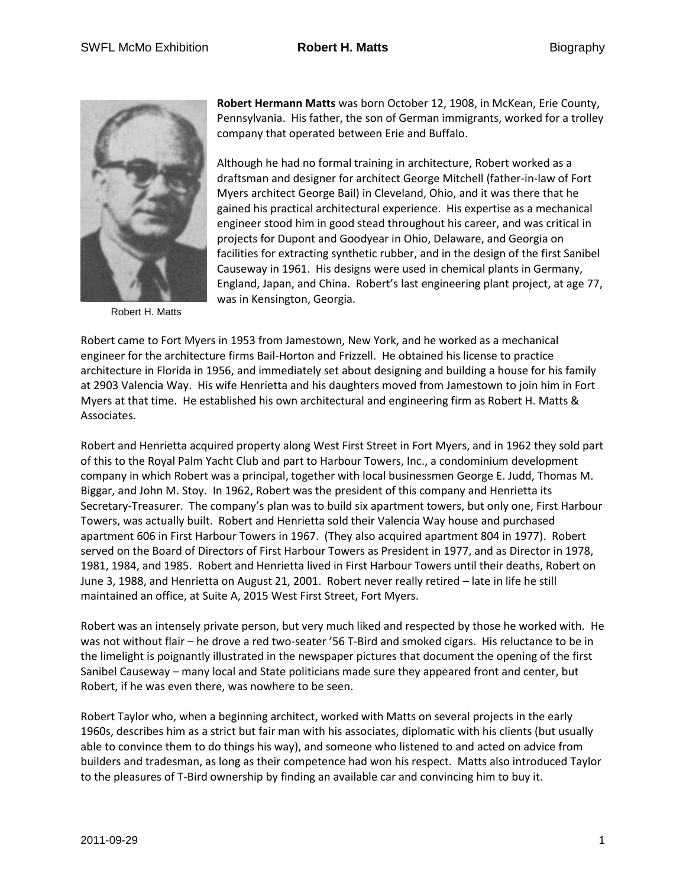

Robert H. Matts

**Robert Hermann Matts** was born October 12, 1908, in McKean, Erie County, Pennsylvania. His father, the son of German immigrants, worked for a trolley company that operated between Erie and Buffalo.

Although he had no formal training in architecture, Robert worked as a draftsman and designer for architect George Mitchell (father-in-law of Fort Myers architect George Bail) in Cleveland, Ohio, and it was there that he gained his practical architectural experience. His expertise as a mechanical engineer stood him in good stead throughout his career, and was critical in projects for Dupont and Goodyear in Ohio, Delaware, and Georgia on facilities for extracting synthetic rubber, and in the design of the first Sanibel Causeway in 1961. His designs were used in chemical plants in Germany, England, Japan, and China. Robert's last engineering plant project, at age 77, was in Kensington, Georgia.

Robert came to Fort Myers in 1953 from Jamestown, New York, and he worked as a mechanical engineer for the architecture firms Bail-Horton and Frizzell. He obtained his license to practice architecture in Florida in 1956, and immediately set about designing and building a house for his family at 2903 Valencia Way. His wife Henrietta and his daughters moved from Jamestown to join him in Fort Myers at that time. He established his own architectural and engineering firm as Robert H. Matts & Associates.

Robert and Henrietta acquired property along West First Street in Fort Myers, and in 1962 they sold part of this to the Royal Palm Yacht Club and part to Harbour Towers, Inc., a condominium development company in which Robert was a principal, together with local businessmen George E. Judd, Thomas M. Biggar, and John M. Stoy. In 1962, Robert was the president of this company and Henrietta its Secretary-Treasurer. The company's plan was to build six apartment towers, but only one, First Harbour Towers, was actually built. Robert and Henrietta sold their Valencia Way house and purchased apartment 606 in First Harbour Towers in 1967. (They also acquired apartment 804 in 1977). Robert served on the Board of Directors of First Harbour Towers as President in 1977, and as Director in 1978, 1981, 1984, and 1985. Robert and Henrietta lived in First Harbour Towers until their deaths, Robert on June 3, 1988, and Henrietta on August 21, 2001. Robert never really retired – late in life he still maintained an office, at Suite A, 2015 West First Street, Fort Myers.

Robert was an intensely private person, but very much liked and respected by those he worked with. He was not without flair – he drove a red two-seater '56 T-Bird and smoked cigars. His reluctance to be in the limelight is poignantly illustrated in the newspaper pictures that document the opening of the first Sanibel Causeway – many local and State politicians made sure they appeared front and center, but Robert, if he was even there, was nowhere to be seen.

Robert Taylor who, when a beginning architect, worked with Matts on several projects in the early 1960s, describes him as a strict but fair man with his associates, diplomatic with his clients (but usually able to convince them to do things his way), and someone who listened to and acted on advice from builders and tradesman, as long as their competence had won his respect. Matts also introduced Taylor to the pleasures of T-Bird ownership by finding an available car and convincing him to buy it.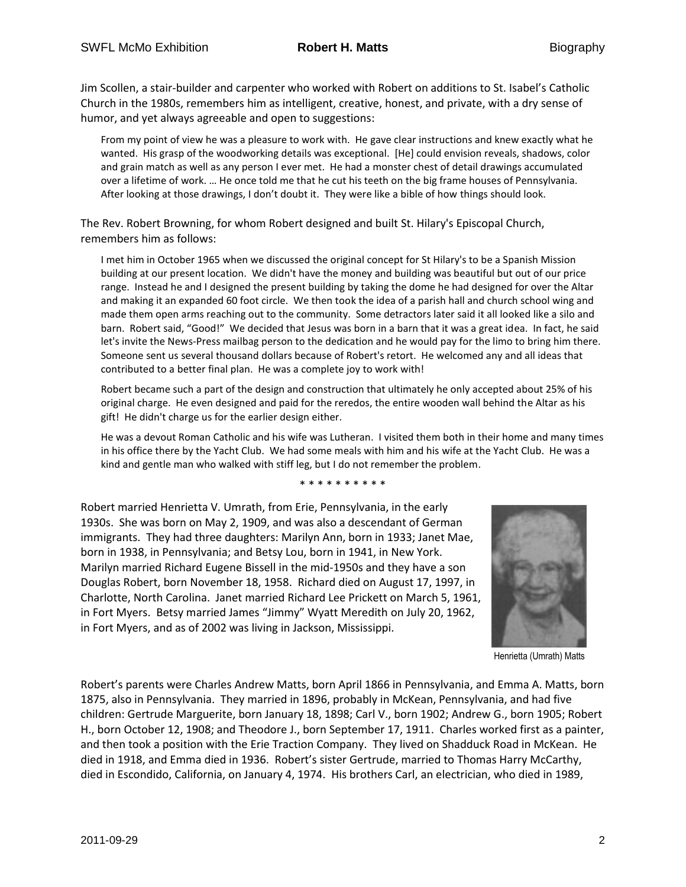Jim Scollen, a stair-builder and carpenter who worked with Robert on additions to St. Isabel's Catholic Church in the 1980s, remembers him as intelligent, creative, honest, and private, with a dry sense of humor, and yet always agreeable and open to suggestions:

From my point of view he was a pleasure to work with. He gave clear instructions and knew exactly what he wanted. His grasp of the woodworking details was exceptional. [He] could envision reveals, shadows, color and grain match as well as any person I ever met. He had a monster chest of detail drawings accumulated over a lifetime of work. … He once told me that he cut his teeth on the big frame houses of Pennsylvania. After looking at those drawings, I don't doubt it. They were like a bible of how things should look.

The Rev. Robert Browning, for whom Robert designed and built St. Hilary's Episcopal Church, remembers him as follows:

I met him in October 1965 when we discussed the original concept for St Hilary's to be a Spanish Mission building at our present location. We didn't have the money and building was beautiful but out of our price range. Instead he and I designed the present building by taking the dome he had designed for over the Altar and making it an expanded 60 foot circle. We then took the idea of a parish hall and church school wing and made them open arms reaching out to the community. Some detractors later said it all looked like a silo and barn. Robert said, "Good!" We decided that Jesus was born in a barn that it was a great idea. In fact, he said let's invite the News-Press mailbag person to the dedication and he would pay for the limo to bring him there. Someone sent us several thousand dollars because of Robert's retort. He welcomed any and all ideas that contributed to a better final plan. He was a complete joy to work with!

Robert became such a part of the design and construction that ultimately he only accepted about 25% of his original charge. He even designed and paid for the reredos, the entire wooden wall behind the Altar as his gift! He didn't charge us for the earlier design either.

He was a devout Roman Catholic and his wife was Lutheran. I visited them both in their home and many times in his office there by the Yacht Club. We had some meals with him and his wife at the Yacht Club. He was a kind and gentle man who walked with stiff leg, but I do not remember the problem.

\* \* \* \* \* \* \* \* \* \*

Robert married Henrietta V. Umrath, from Erie, Pennsylvania, in the early 1930s. She was born on May 2, 1909, and was also a descendant of German immigrants. They had three daughters: Marilyn Ann, born in 1933; Janet Mae, born in 1938, in Pennsylvania; and Betsy Lou, born in 1941, in New York. Marilyn married Richard Eugene Bissell in the mid-1950s and they have a son Douglas Robert, born November 18, 1958. Richard died on August 17, 1997, in Charlotte, North Carolina. Janet married Richard Lee Prickett on March 5, 1961, in Fort Myers. Betsy married James "Jimmy" Wyatt Meredith on July 20, 1962, in Fort Myers, and as of 2002 was living in Jackson, Mississippi.



Henrietta (Umrath) Matts

Robert's parents were Charles Andrew Matts, born April 1866 in Pennsylvania, and Emma A. Matts, born 1875, also in Pennsylvania. They married in 1896, probably in McKean, Pennsylvania, and had five children: Gertrude Marguerite, born January 18, 1898; Carl V., born 1902; Andrew G., born 1905; Robert H., born October 12, 1908; and Theodore J., born September 17, 1911. Charles worked first as a painter, and then took a position with the Erie Traction Company. They lived on Shadduck Road in McKean. He died in 1918, and Emma died in 1936. Robert's sister Gertrude, married to Thomas Harry McCarthy, died in Escondido, California, on January 4, 1974. His brothers Carl, an electrician, who died in 1989,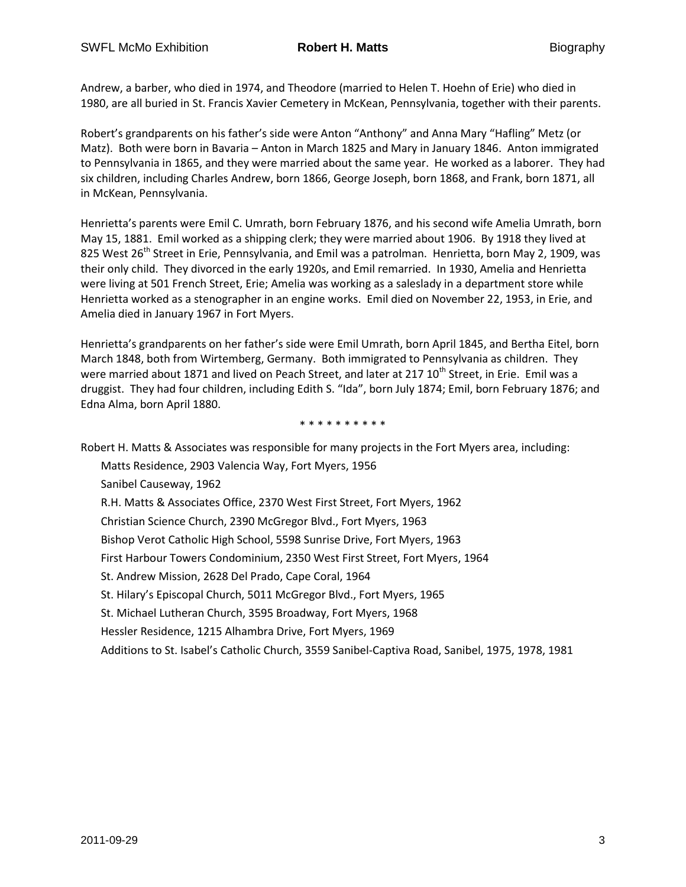Andrew, a barber, who died in 1974, and Theodore (married to Helen T. Hoehn of Erie) who died in 1980, are all buried in St. Francis Xavier Cemetery in McKean, Pennsylvania, together with their parents.

Robert's grandparents on his father's side were Anton "Anthony" and Anna Mary "Hafling" Metz (or Matz). Both were born in Bavaria – Anton in March 1825 and Mary in January 1846. Anton immigrated to Pennsylvania in 1865, and they were married about the same year. He worked as a laborer. They had six children, including Charles Andrew, born 1866, George Joseph, born 1868, and Frank, born 1871, all in McKean, Pennsylvania.

Henrietta's parents were Emil C. Umrath, born February 1876, and his second wife Amelia Umrath, born May 15, 1881. Emil worked as a shipping clerk; they were married about 1906. By 1918 they lived at 825 West 26<sup>th</sup> Street in Erie, Pennsylvania, and Emil was a patrolman. Henrietta, born May 2, 1909, was their only child. They divorced in the early 1920s, and Emil remarried. In 1930, Amelia and Henrietta were living at 501 French Street, Erie; Amelia was working as a saleslady in a department store while Henrietta worked as a stenographer in an engine works. Emil died on November 22, 1953, in Erie, and Amelia died in January 1967 in Fort Myers.

Henrietta's grandparents on her father's side were Emil Umrath, born April 1845, and Bertha Eitel, born March 1848, both from Wirtemberg, Germany. Both immigrated to Pennsylvania as children. They were married about 1871 and lived on Peach Street, and later at 217 10<sup>th</sup> Street, in Erie. Emil was a druggist. They had four children, including Edith S. "Ida", born July 1874; Emil, born February 1876; and Edna Alma, born April 1880.

\* \* \* \* \* \* \* \* \* \*

Robert H. Matts & Associates was responsible for many projects in the Fort Myers area, including: Matts Residence, 2903 Valencia Way, Fort Myers, 1956 Sanibel Causeway, 1962 R.H. Matts & Associates Office, 2370 West First Street, Fort Myers, 1962 Christian Science Church, 2390 McGregor Blvd., Fort Myers, 1963 Bishop Verot Catholic High School, 5598 Sunrise Drive, Fort Myers, 1963 First Harbour Towers Condominium, 2350 West First Street, Fort Myers, 1964 St. Andrew Mission, 2628 Del Prado, Cape Coral, 1964 St. Hilary's Episcopal Church, 5011 McGregor Blvd., Fort Myers, 1965 St. Michael Lutheran Church, 3595 Broadway, Fort Myers, 1968 Hessler Residence, 1215 Alhambra Drive, Fort Myers, 1969 Additions to St. Isabel's Catholic Church, 3559 Sanibel-Captiva Road, Sanibel, 1975, 1978, 1981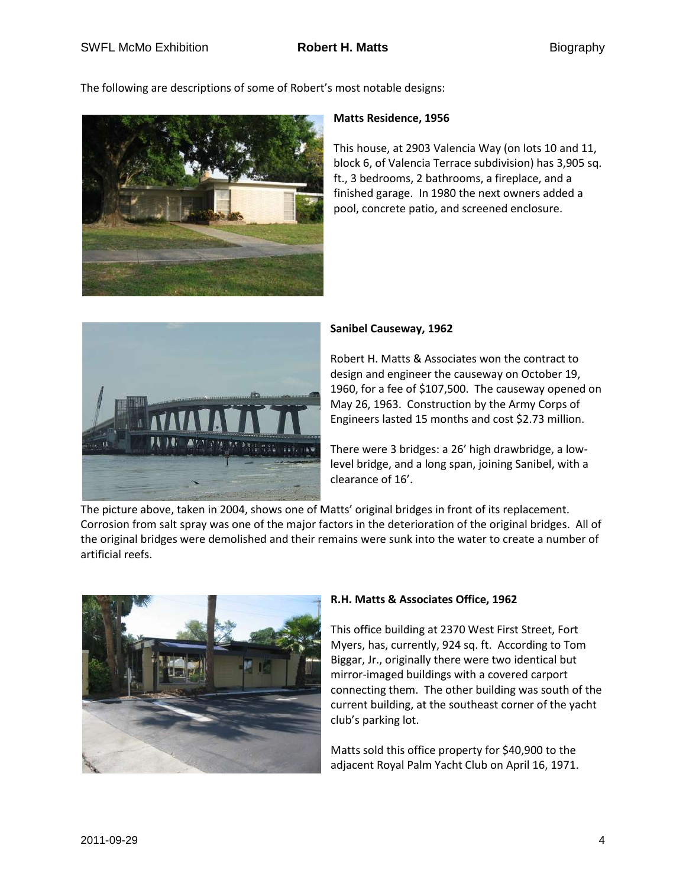The following are descriptions of some of Robert's most notable designs:



## **Matts Residence, 1956**

This house, at 2903 Valencia Way (on lots 10 and 11, block 6, of Valencia Terrace subdivision) has 3,905 sq. ft., 3 bedrooms, 2 bathrooms, a fireplace, and a finished garage. In 1980 the next owners added a pool, concrete patio, and screened enclosure.



## **Sanibel Causeway, 1962**

Robert H. Matts & Associates won the contract to design and engineer the causeway on October 19, 1960, for a fee of \$107,500. The causeway opened on May 26, 1963. Construction by the Army Corps of Engineers lasted 15 months and cost \$2.73 million.

There were 3 bridges: a 26' high drawbridge, a lowlevel bridge, and a long span, joining Sanibel, with a clearance of 16'.

The picture above, taken in 2004, shows one of Matts' original bridges in front of its replacement. Corrosion from salt spray was one of the major factors in the deterioration of the original bridges. All of the original bridges were demolished and their remains were sunk into the water to create a number of artificial reefs.



# **R.H. Matts & Associates Office, 1962**

This office building at 2370 West First Street, Fort Myers, has, currently, 924 sq. ft. According to Tom Biggar, Jr., originally there were two identical but mirror-imaged buildings with a covered carport connecting them. The other building was south of the current building, at the southeast corner of the yacht club's parking lot.

Matts sold this office property for \$40,900 to the adjacent Royal Palm Yacht Club on April 16, 1971.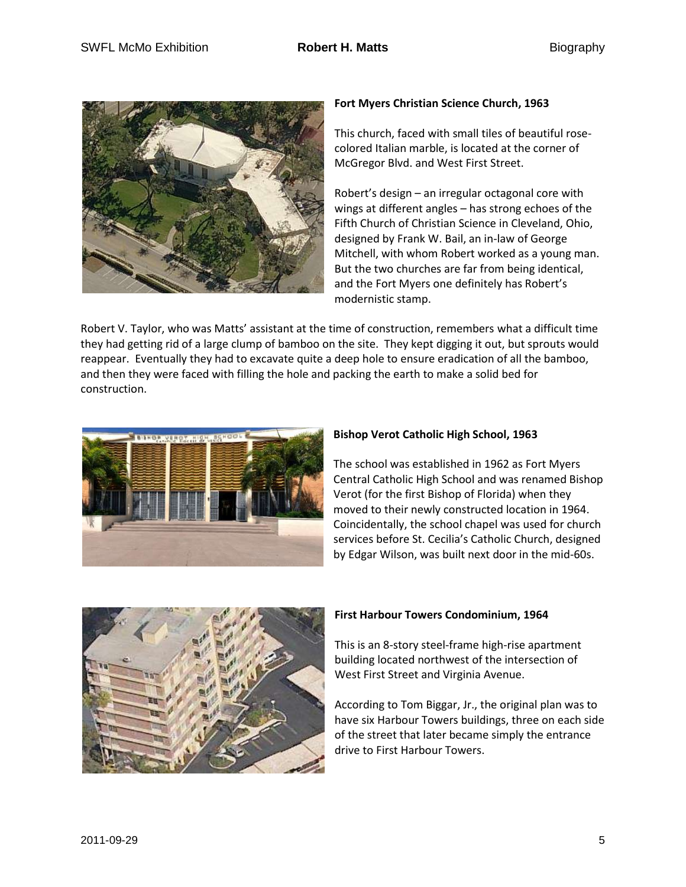

# **Fort Myers Christian Science Church, 1963**

This church, faced with small tiles of beautiful rosecolored Italian marble, is located at the corner of McGregor Blvd. and West First Street.

Robert's design – an irregular octagonal core with wings at different angles – has strong echoes of the Fifth Church of Christian Science in Cleveland, Ohio, designed by Frank W. Bail, an in-law of George Mitchell, with whom Robert worked as a young man. But the two churches are far from being identical, and the Fort Myers one definitely has Robert's modernistic stamp.

Robert V. Taylor, who was Matts' assistant at the time of construction, remembers what a difficult time they had getting rid of a large clump of bamboo on the site. They kept digging it out, but sprouts would reappear. Eventually they had to excavate quite a deep hole to ensure eradication of all the bamboo, and then they were faced with filling the hole and packing the earth to make a solid bed for construction.



#### **Bishop Verot Catholic High School, 1963**

The school was established in 1962 as Fort Myers Central Catholic High School and was renamed Bishop Verot (for the first Bishop of Florida) when they moved to their newly constructed location in 1964. Coincidentally, the school chapel was used for church services before St. Cecilia's Catholic Church, designed by Edgar Wilson, was built next door in the mid-60s.



#### **First Harbour Towers Condominium, 1964**

This is an 8-story steel-frame high-rise apartment building located northwest of the intersection of West First Street and Virginia Avenue.

According to Tom Biggar, Jr., the original plan was to have six Harbour Towers buildings, three on each side of the street that later became simply the entrance drive to First Harbour Towers.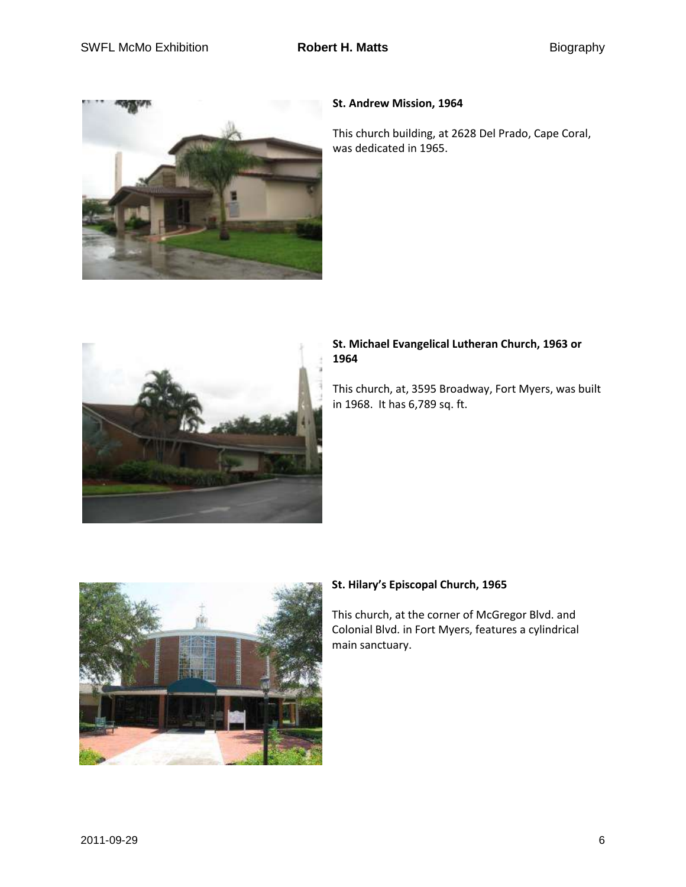

## **St. Andrew Mission, 1964**

This church building, at 2628 Del Prado, Cape Coral, was dedicated in 1965.



# **St. Michael Evangelical Lutheran Church, 1963 or 1964**

This church, at, 3595 Broadway, Fort Myers, was built in 1968. It has 6,789 sq. ft.



# **St. Hilary's Episcopal Church, 1965**

This church, at the corner of McGregor Blvd. and Colonial Blvd. in Fort Myers, features a cylindrical main sanctuary.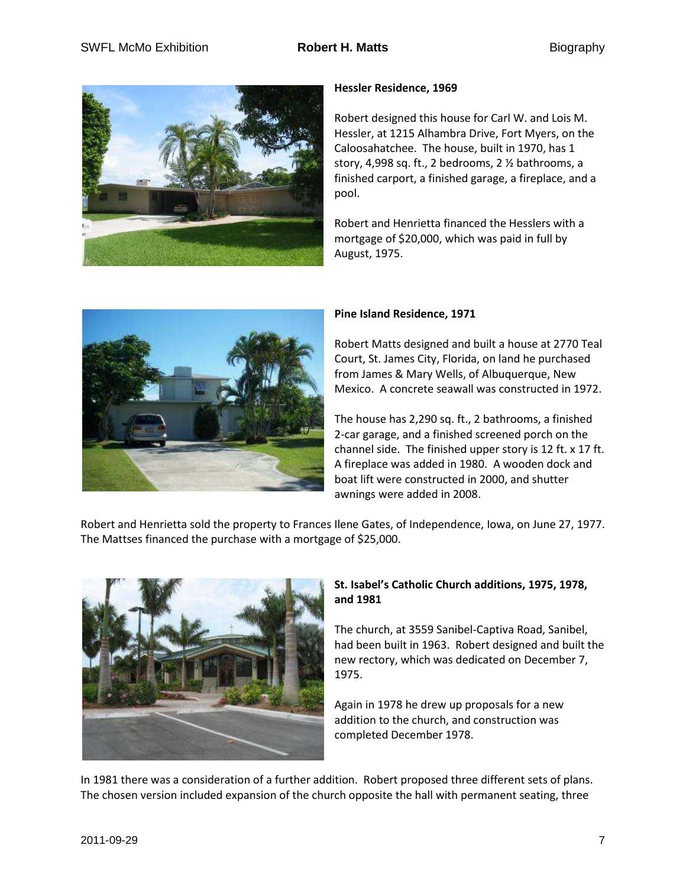

# **Hessler Residence, 1969**

Robert designed this house for Carl W. and Lois M. Hessler, at 1215 Alhambra Drive, Fort Myers, on the Caloosahatchee. The house, built in 1970, has 1 story, 4,998 sq. ft., 2 bedrooms, 2 ½ bathrooms, a finished carport, a finished garage, a fireplace, and a pool.

Robert and Henrietta financed the Hesslers with a mortgage of \$20,000, which was paid in full by August, 1975.



## **Pine Island Residence, 1971**

Robert Matts designed and built a house at 2770 Teal Court, St. James City, Florida, on land he purchased from James & Mary Wells, of Albuquerque, New Mexico. A concrete seawall was constructed in 1972.

The house has 2,290 sq. ft., 2 bathrooms, a finished 2-car garage, and a finished screened porch on the channel side. The finished upper story is 12 ft. x 17 ft. A fireplace was added in 1980. A wooden dock and boat lift were constructed in 2000, and shutter awnings were added in 2008.

Robert and Henrietta sold the property to Frances Ilene Gates, of Independence, Iowa, on June 27, 1977. The Mattses financed the purchase with a mortgage of \$25,000.



# **St. Isabel's Catholic Church additions, 1975, 1978, and 1981**

The church, at 3559 Sanibel-Captiva Road, Sanibel, had been built in 1963. Robert designed and built the new rectory, which was dedicated on December 7, 1975.

Again in 1978 he drew up proposals for a new addition to the church, and construction was completed December 1978.

In 1981 there was a consideration of a further addition. Robert proposed three different sets of plans. The chosen version included expansion of the church opposite the hall with permanent seating, three